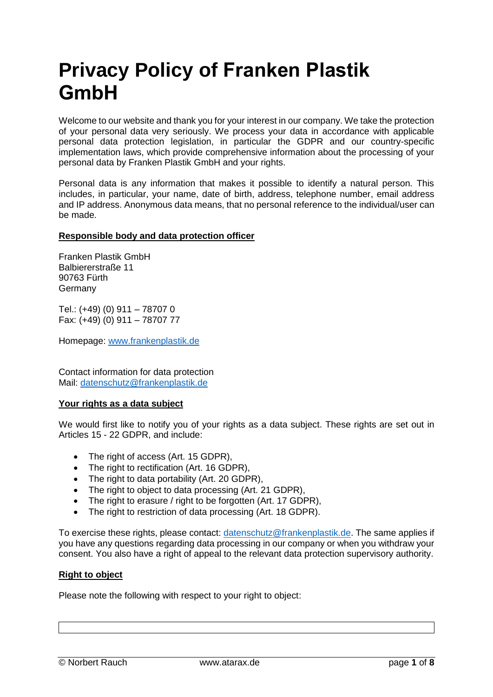# **Privacy Policy of Franken Plastik GmbH**

Welcome to our website and thank you for your interest in our company. We take the protection of your personal data very seriously. We process your data in accordance with applicable personal data protection legislation, in particular the GDPR and our country-specific implementation laws, which provide comprehensive information about the processing of your personal data by Franken Plastik GmbH and your rights.

Personal data is any information that makes it possible to identify a natural person. This includes, in particular, your name, date of birth, address, telephone number, email address and IP address. Anonymous data means, that no personal reference to the individual/user can be made.

# **Responsible body and data protection officer**

Franken Plastik GmbH Balbiererstraße 11 90763 Fürth Germany

Tel.: (+49) (0) 911 – 78707 0 Fax: (+49) (0) 911 – 78707 77

Homepage: [www.frankenplastik.de](http://www.frankenplastik.de/)

Contact information for data protection Mail: [datenschutz@frankenplastik.de](mailto:datenschutz@frankenplastik.de)

#### **Your rights as a data subject**

We would first like to notify you of your rights as a data subject. These rights are set out in Articles 15 - 22 GDPR, and include:

- The right of access (Art. 15 GDPR),
- The right to rectification (Art. 16 GDPR),
- The right to data portability (Art. 20 GDPR),
- The right to object to data processing (Art. 21 GDPR).
- The right to erasure / right to be forgotten (Art. 17 GDPR),
- The right to restriction of data processing (Art. 18 GDPR).

To exercise these rights, please contact: [datenschutz@frankenplastik.de.](mailto:datenschutz@frankenplastik.de) The same applies if you have any questions regarding data processing in our company or when you withdraw your consent. You also have a right of appeal to the relevant data protection supervisory authority.

# **Right to object**

Please note the following with respect to your right to object: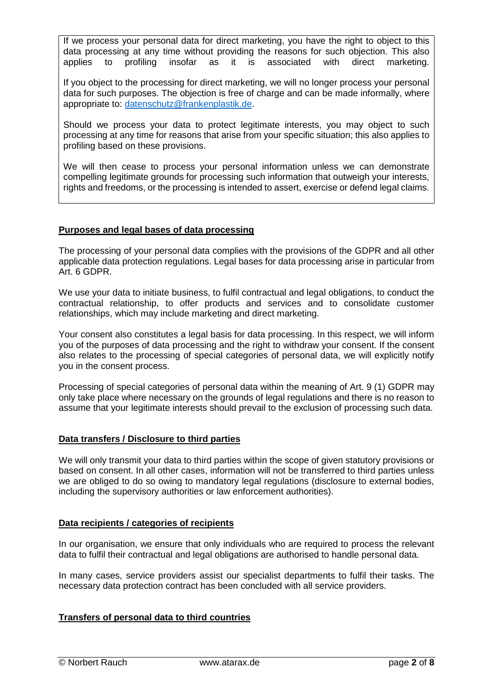If we process your personal data for direct marketing, you have the right to object to this data processing at any time without providing the reasons for such objection. This also applies to profiling insofar as it is associated with direct marketing.

If you object to the processing for direct marketing, we will no longer process your personal data for such purposes. The objection is free of charge and can be made informally, where appropriate to: [datenschutz@frankenplastik.de.](mailto:datenschutz@frankenplastik.de)

Should we process your data to protect legitimate interests, you may object to such processing at any time for reasons that arise from your specific situation; this also applies to profiling based on these provisions.

We will then cease to process your personal information unless we can demonstrate compelling legitimate grounds for processing such information that outweigh your interests, rights and freedoms, or the processing is intended to assert, exercise or defend legal claims.

# **Purposes and legal bases of data processing**

The processing of your personal data complies with the provisions of the GDPR and all other applicable data protection regulations. Legal bases for data processing arise in particular from Art. 6 GDPR.

We use your data to initiate business, to fulfil contractual and legal obligations, to conduct the contractual relationship, to offer products and services and to consolidate customer relationships, which may include marketing and direct marketing.

Your consent also constitutes a legal basis for data processing. In this respect, we will inform you of the purposes of data processing and the right to withdraw your consent. If the consent also relates to the processing of special categories of personal data, we will explicitly notify you in the consent process.

Processing of special categories of personal data within the meaning of Art. 9 (1) GDPR may only take place where necessary on the grounds of legal regulations and there is no reason to assume that your legitimate interests should prevail to the exclusion of processing such data.

# **Data transfers / Disclosure to third parties**

We will only transmit your data to third parties within the scope of given statutory provisions or based on consent. In all other cases, information will not be transferred to third parties unless we are obliged to do so owing to mandatory legal regulations (disclosure to external bodies, including the supervisory authorities or law enforcement authorities).

#### **Data recipients / categories of recipients**

In our organisation, we ensure that only individuals who are required to process the relevant data to fulfil their contractual and legal obligations are authorised to handle personal data.

In many cases, service providers assist our specialist departments to fulfil their tasks. The necessary data protection contract has been concluded with all service providers.

# **Transfers of personal data to third countries**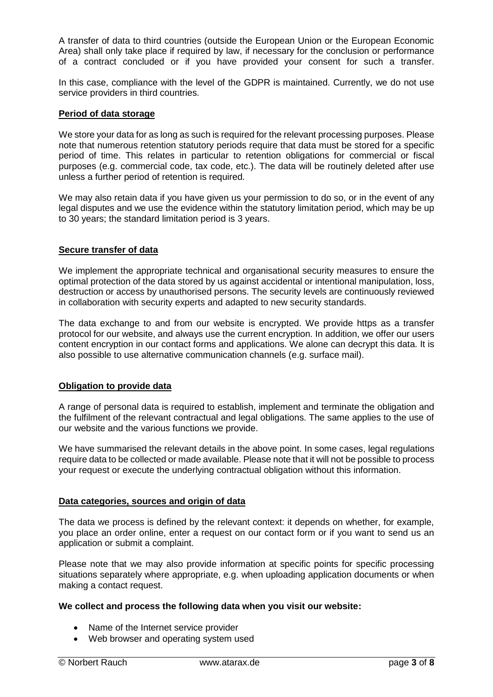A transfer of data to third countries (outside the European Union or the European Economic Area) shall only take place if required by law, if necessary for the conclusion or performance of a contract concluded or if you have provided your consent for such a transfer.

In this case, compliance with the level of the GDPR is maintained. Currently, we do not use service providers in third countries.

#### **Period of data storage**

We store your data for as long as such is required for the relevant processing purposes. Please note that numerous retention statutory periods require that data must be stored for a specific period of time. This relates in particular to retention obligations for commercial or fiscal purposes (e.g. commercial code, tax code, etc.). The data will be routinely deleted after use unless a further period of retention is required.

We may also retain data if you have given us your permission to do so, or in the event of any legal disputes and we use the evidence within the statutory limitation period, which may be up to 30 years; the standard limitation period is 3 years.

# **Secure transfer of data**

We implement the appropriate technical and organisational security measures to ensure the optimal protection of the data stored by us against accidental or intentional manipulation, loss, destruction or access by unauthorised persons. The security levels are continuously reviewed in collaboration with security experts and adapted to new security standards.

The data exchange to and from our website is encrypted. We provide https as a transfer protocol for our website, and always use the current encryption. In addition, we offer our users content encryption in our contact forms and applications. We alone can decrypt this data. It is also possible to use alternative communication channels (e.g. surface mail).

#### **Obligation to provide data**

A range of personal data is required to establish, implement and terminate the obligation and the fulfilment of the relevant contractual and legal obligations. The same applies to the use of our website and the various functions we provide.

We have summarised the relevant details in the above point. In some cases, legal regulations require data to be collected or made available. Please note that it will not be possible to process your request or execute the underlying contractual obligation without this information.

#### **Data categories, sources and origin of data**

The data we process is defined by the relevant context: it depends on whether, for example, you place an order online, enter a request on our contact form or if you want to send us an application or submit a complaint.

Please note that we may also provide information at specific points for specific processing situations separately where appropriate, e.g. when uploading application documents or when making a contact request.

# **We collect and process the following data when you visit our website:**

- Name of the Internet service provider
- Web browser and operating system used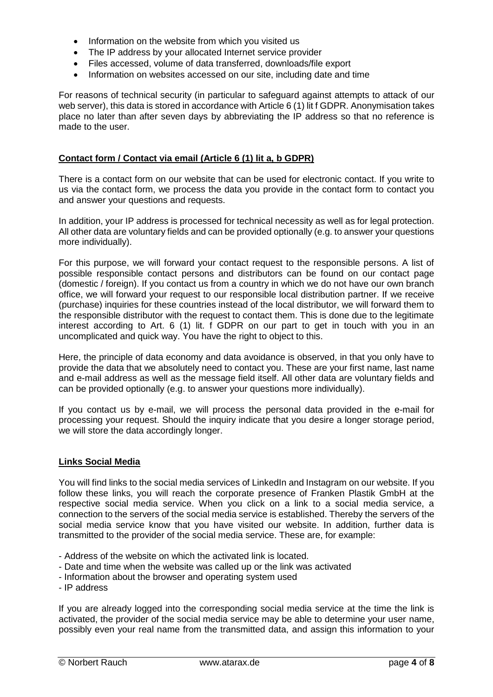- Information on the website from which you visited us
- The IP address by your allocated Internet service provider
- Files accessed, volume of data transferred, downloads/file export
- Information on websites accessed on our site, including date and time

For reasons of technical security (in particular to safeguard against attempts to attack of our web server), this data is stored in accordance with Article 6 (1) lit f GDPR. Anonymisation takes place no later than after seven days by abbreviating the IP address so that no reference is made to the user.

# **Contact form / Contact via email (Article 6 (1) lit a, b GDPR)**

There is a contact form on our website that can be used for electronic contact. If you write to us via the contact form, we process the data you provide in the contact form to contact you and answer your questions and requests.

In addition, your IP address is processed for technical necessity as well as for legal protection. All other data are voluntary fields and can be provided optionally (e.g. to answer your questions more individually).

For this purpose, we will forward your contact request to the responsible persons. A list of possible responsible contact persons and distributors can be found on our contact page (domestic / foreign). If you contact us from a country in which we do not have our own branch office, we will forward your request to our responsible local distribution partner. If we receive (purchase) inquiries for these countries instead of the local distributor, we will forward them to the responsible distributor with the request to contact them. This is done due to the legitimate interest according to Art. 6 (1) lit. f GDPR on our part to get in touch with you in an uncomplicated and quick way. You have the right to object to this.

Here, the principle of data economy and data avoidance is observed, in that you only have to provide the data that we absolutely need to contact you. These are your first name, last name and e-mail address as well as the message field itself. All other data are voluntary fields and can be provided optionally (e.g. to answer your questions more individually).

If you contact us by e-mail, we will process the personal data provided in the e-mail for processing your request. Should the inquiry indicate that you desire a longer storage period, we will store the data accordingly longer.

# **Links Social Media**

You will find links to the social media services of LinkedIn and Instagram on our website. If you follow these links, you will reach the corporate presence of Franken Plastik GmbH at the respective social media service. When you click on a link to a social media service, a connection to the servers of the social media service is established. Thereby the servers of the social media service know that you have visited our website. In addition, further data is transmitted to the provider of the social media service. These are, for example:

- Address of the website on which the activated link is located.
- Date and time when the website was called up or the link was activated
- Information about the browser and operating system used
- IP address

If you are already logged into the corresponding social media service at the time the link is activated, the provider of the social media service may be able to determine your user name, possibly even your real name from the transmitted data, and assign this information to your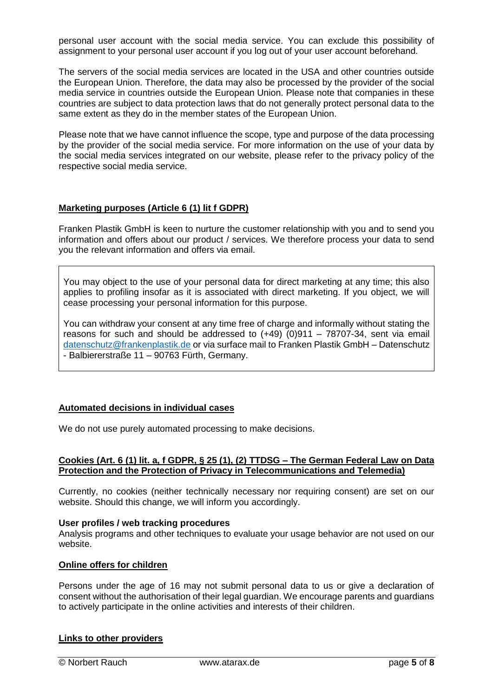personal user account with the social media service. You can exclude this possibility of assignment to your personal user account if you log out of your user account beforehand.

The servers of the social media services are located in the USA and other countries outside the European Union. Therefore, the data may also be processed by the provider of the social media service in countries outside the European Union. Please note that companies in these countries are subject to data protection laws that do not generally protect personal data to the same extent as they do in the member states of the European Union.

Please note that we have cannot influence the scope, type and purpose of the data processing by the provider of the social media service. For more information on the use of your data by the social media services integrated on our website, please refer to the privacy policy of the respective social media service.

## **Marketing purposes (Article 6 (1) lit f GDPR)**

Franken Plastik GmbH is keen to nurture the customer relationship with you and to send you information and offers about our product / services. We therefore process your data to send you the relevant information and offers via email.

You may object to the use of your personal data for direct marketing at any time; this also applies to profiling insofar as it is associated with direct marketing. If you object, we will cease processing your personal information for this purpose.

You can withdraw your consent at any time free of charge and informally without stating the reasons for such and should be addressed to (+49) (0)911 – 78707-34, sent via email [datenschutz@frankenplastik.de](mailto:datenschutz@frankenplastik.de) or via surface mail to Franken Plastik GmbH – Datenschutz - Balbiererstraße 11 – 90763 Fürth, Germany.

#### **Automated decisions in individual cases**

We do not use purely automated processing to make decisions.

#### **Cookies (Art. 6 (1) lit. a, f GDPR, § 25 (1), (2) TTDSG – The German Federal Law on Data Protection and the Protection of Privacy in Telecommunications and Telemedia)**

Currently, no cookies (neither technically necessary nor requiring consent) are set on our website. Should this change, we will inform you accordingly.

#### **User profiles / web tracking procedures**

Analysis programs and other techniques to evaluate your usage behavior are not used on our website.

#### **Online offers for children**

Persons under the age of 16 may not submit personal data to us or give a declaration of consent without the authorisation of their legal guardian. We encourage parents and guardians to actively participate in the online activities and interests of their children.

# **Links to other providers**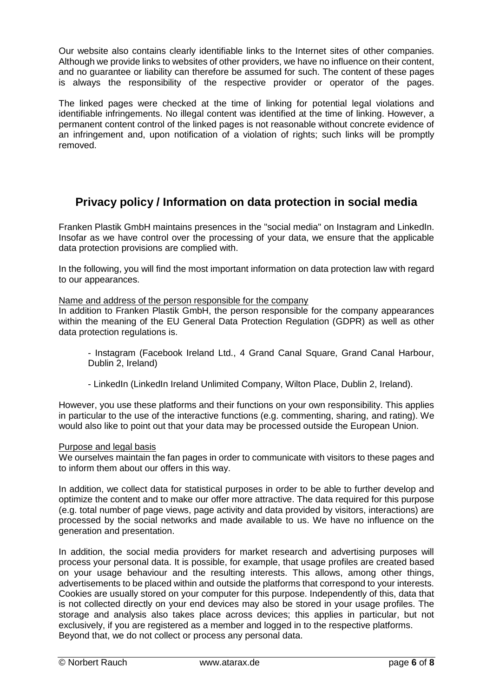Our website also contains clearly identifiable links to the Internet sites of other companies. Although we provide links to websites of other providers, we have no influence on their content, and no guarantee or liability can therefore be assumed for such. The content of these pages is always the responsibility of the respective provider or operator of the pages.

The linked pages were checked at the time of linking for potential legal violations and identifiable infringements. No illegal content was identified at the time of linking. However, a permanent content control of the linked pages is not reasonable without concrete evidence of an infringement and, upon notification of a violation of rights; such links will be promptly removed.

# **Privacy policy / Information on data protection in social media**

Franken Plastik GmbH maintains presences in the "social media" on Instagram and LinkedIn. Insofar as we have control over the processing of your data, we ensure that the applicable data protection provisions are complied with.

In the following, you will find the most important information on data protection law with regard to our appearances.

## Name and address of the person responsible for the company

In addition to Franken Plastik GmbH, the person responsible for the company appearances within the meaning of the EU General Data Protection Regulation (GDPR) as well as other data protection regulations is.

- Instagram (Facebook Ireland Ltd., 4 Grand Canal Square, Grand Canal Harbour, Dublin 2, Ireland)

- LinkedIn (LinkedIn Ireland Unlimited Company, Wilton Place, Dublin 2, Ireland).

However, you use these platforms and their functions on your own responsibility. This applies in particular to the use of the interactive functions (e.g. commenting, sharing, and rating). We would also like to point out that your data may be processed outside the European Union.

# Purpose and legal basis

We ourselves maintain the fan pages in order to communicate with visitors to these pages and to inform them about our offers in this way.

In addition, we collect data for statistical purposes in order to be able to further develop and optimize the content and to make our offer more attractive. The data required for this purpose (e.g. total number of page views, page activity and data provided by visitors, interactions) are processed by the social networks and made available to us. We have no influence on the generation and presentation.

In addition, the social media providers for market research and advertising purposes will process your personal data. It is possible, for example, that usage profiles are created based on your usage behaviour and the resulting interests. This allows, among other things, advertisements to be placed within and outside the platforms that correspond to your interests. Cookies are usually stored on your computer for this purpose. Independently of this, data that is not collected directly on your end devices may also be stored in your usage profiles. The storage and analysis also takes place across devices; this applies in particular, but not exclusively, if you are registered as a member and logged in to the respective platforms. Beyond that, we do not collect or process any personal data.